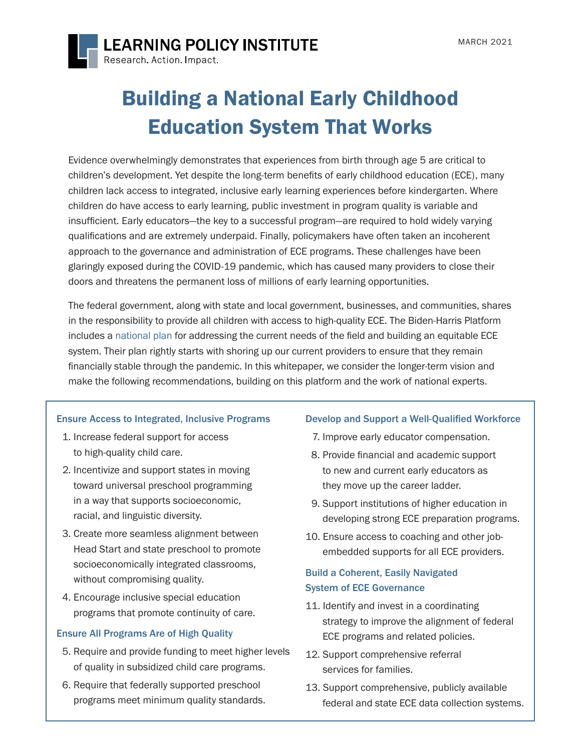

**LEARNING POLICY INSTITUTE** Research Action Impact

# Building a National Early Childhood Education System That Works

Evidence overwhelmingly demonstrates that experiences from birth through age 5 are critical to children's development. Yet despite the long-term benefits of early childhood education (ECE), many children lack access to integrated, inclusive early learning experiences before kindergarten. Where children do have access to early learning, public investment in program quality is variable and insufficient. Early educators—the key to a successful program—are required to hold widely varying qualifications and are extremely underpaid. Finally, policymakers have often taken an incoherent approach to the governance and administration of ECE programs. These challenges have been glaringly exposed during the COVID-19 pandemic, which has caused many providers to close their doors and threatens the permanent loss of millions of early learning opportunities.

The federal government, along with state and local government, businesses, and communities, shares in the responsibility to provide all children with access to high-quality ECE. The Biden-Harris Platform includes a [national plan](https://joebiden.com/caregiving/) for addressing the current needs of the field and building an equitable ECE system. Their plan rightly starts with shoring up our current providers to ensure that they remain financially stable through the pandemic. In this whitepaper, we consider the longer-term vision and make the following recommendations, building on this platform and the work of national experts.

#### Ensure Access to Integrated, Inclusive Programs

- 1. Increase federal support for access to high-quality child care.
- 2. Incentivize and support states in moving toward universal preschool programming in a way that supports socioeconomic, racial, and linguistic diversity.
- 3. Create more seamless alignment between Head Start and state preschool to promote socioeconomically integrated classrooms, without compromising quality.
- 4. Encourage inclusive special education programs that promote continuity of care.

#### Ensure All Programs Are of High Quality

- 5. Require and provide funding to meet higher levels of quality in subsidized child care programs.
- 6. Require that federally supported preschool programs meet minimum quality standards.

#### Develop and Support a Well-Qualified Workforce

- 7. Improve early educator compensation.
- 8. Provide financial and academic support to new and current early educators as they move up the career ladder.
- 9. Support institutions of higher education in developing strong ECE preparation programs.
- 10. Ensure access to coaching and other jobembedded supports for all ECE providers.

#### Build a Coherent, Easily Navigated System of ECE Governance

- 11. Identify and invest in a coordinating strategy to improve the alignment of federal ECE programs and related policies.
- 12. Support comprehensive referral services for families.
- 13. Support comprehensive, publicly available federal and state ECE data collection systems.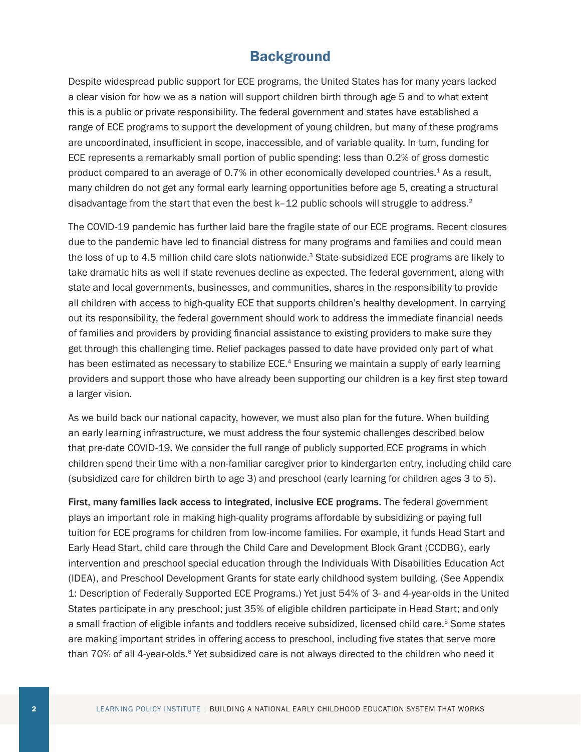## **Background**

Despite widespread public support for ECE programs, the United States has for many years lacked a clear vision for how we as a nation will support children birth through age 5 and to what extent this is a public or private responsibility. The federal government and states have established a range of ECE programs to support the development of young children, but many of these programs are uncoordinated, insufficient in scope, inaccessible, and of variable quality. In turn, funding for ECE represents a remarkably small portion of public spending: less than 0.2% of gross domestic product compared to an average of 0.7% in other economically developed countries.<sup>1</sup> As a result, many children do not get any formal early learning opportunities before age 5, creating a structural disadvantage from the start that even the best k-12 public schools will struggle to address.<sup>2</sup>

The COVID-19 pandemic has further laid bare the fragile state of our ECE programs. Recent closures due to the pandemic have led to financial distress for many programs and families and could mean the loss of up to 4.5 million child care slots nationwide.<sup>3</sup> State-subsidized ECE programs are likely to take dramatic hits as well if state revenues decline as expected. The federal government, along with state and local governments, businesses, and communities, shares in the responsibility to provide all children with access to high-quality ECE that supports children's healthy development. In carrying out its responsibility, the federal government should work to address the immediate financial needs of families and providers by providing financial assistance to existing providers to make sure they get through this challenging time. Relief packages passed to date have provided only part of what has been estimated as necessary to stabilize ECE.<sup>4</sup> Ensuring we maintain a supply of early learning providers and support those who have already been supporting our children is a key first step toward a larger vision.

As we build back our national capacity, however, we must also plan for the future. When building an early learning infrastructure, we must address the four systemic challenges described below that pre-date COVID-19. We consider the full range of publicly supported ECE programs in which children spend their time with a non-familiar caregiver prior to kindergarten entry, including child care (subsidized care for children birth to age 3) and preschool (early learning for children ages 3 to 5).

First, many families lack access to integrated, inclusive ECE programs. The federal government plays an important role in making high-quality programs affordable by subsidizing or paying full tuition for ECE programs for children from low-income families. For example, it funds Head Start and Early Head Start, child care through the Child Care and Development Block Grant (CCDBG), early intervention and preschool special education through the Individuals With Disabilities Education Act (IDEA), and Preschool Development Grants for state early childhood system building. (See Appendix 1: Description of Federally Supported ECE Programs.) Yet just 54% of 3- and 4-year-olds in the United States participate in any preschool; just 35% of eligible children participate in Head Start; and only a small fraction of eligible infants and toddlers receive subsidized, licensed child care.<sup>5</sup> Some states are making important strides in offering access to preschool, including five states that serve more than 70% of all 4-year-olds.<sup>6</sup> Yet subsidized care is not always directed to the children who need it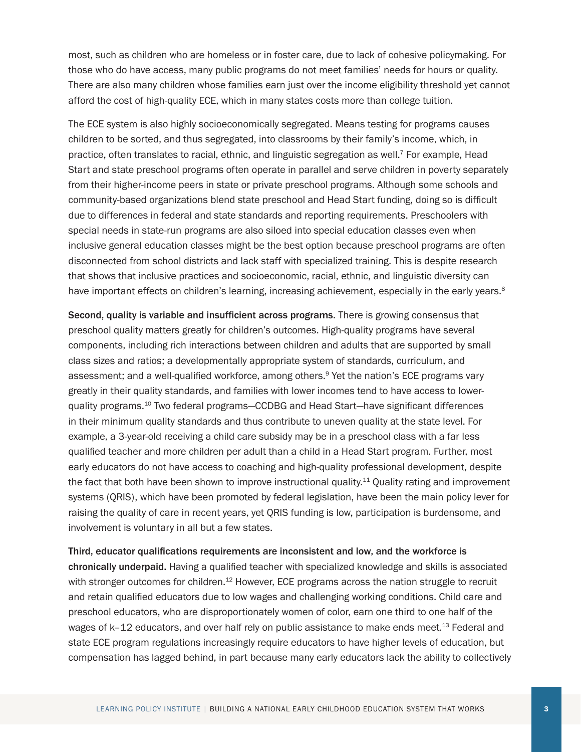most, such as children who are homeless or in foster care, due to lack of cohesive policymaking. For those who do have access, many public programs do not meet families' needs for hours or quality. There are also many children whose families earn just over the income eligibility threshold yet cannot afford the cost of high-quality ECE, which in many states costs more than college tuition.

The ECE system is also highly socioeconomically segregated. Means testing for programs causes children to be sorted, and thus segregated, into classrooms by their family's income, which, in practice, often translates to racial, ethnic, and linguistic segregation as well.7 For example, Head Start and state preschool programs often operate in parallel and serve children in poverty separately from their higher-income peers in state or private preschool programs. Although some schools and community-based organizations blend state preschool and Head Start funding, doing so is difficult due to differences in federal and state standards and reporting requirements. Preschoolers with special needs in state-run programs are also siloed into special education classes even when inclusive general education classes might be the best option because preschool programs are often disconnected from school districts and lack staff with specialized training. This is despite research that shows that inclusive practices and socioeconomic, racial, ethnic, and linguistic diversity can have important effects on children's learning, increasing achievement, especially in the early years.<sup>8</sup>

Second, quality is variable and insufficient across programs. There is growing consensus that preschool quality matters greatly for children's outcomes. High-quality programs have several components, including rich interactions between children and adults that are supported by small class sizes and ratios; a developmentally appropriate system of standards, curriculum, and assessment; and a well-qualified workforce, among others.<sup>9</sup> Yet the nation's ECE programs vary greatly in their quality standards, and families with lower incomes tend to have access to lowerquality programs.10 Two federal programs—CCDBG and Head Start—have significant differences in their minimum quality standards and thus contribute to uneven quality at the state level. For example, a 3-year-old receiving a child care subsidy may be in a preschool class with a far less qualified teacher and more children per adult than a child in a Head Start program. Further, most early educators do not have access to coaching and high-quality professional development, despite the fact that both have been shown to improve instructional quality.<sup>11</sup> Quality rating and improvement systems (QRIS), which have been promoted by federal legislation, have been the main policy lever for raising the quality of care in recent years, yet QRIS funding is low, participation is burdensome, and involvement is voluntary in all but a few states.

Third, educator qualifications requirements are inconsistent and low, and the workforce is chronically underpaid. Having a qualified teacher with specialized knowledge and skills is associated with stronger outcomes for children.<sup>12</sup> However, ECE programs across the nation struggle to recruit and retain qualified educators due to low wages and challenging working conditions. Child care and preschool educators, who are disproportionately women of color, earn one third to one half of the wages of k–12 educators, and over half rely on public assistance to make ends meet.<sup>13</sup> Federal and state ECE program regulations increasingly require educators to have higher levels of education, but compensation has lagged behind, in part because many early educators lack the ability to collectively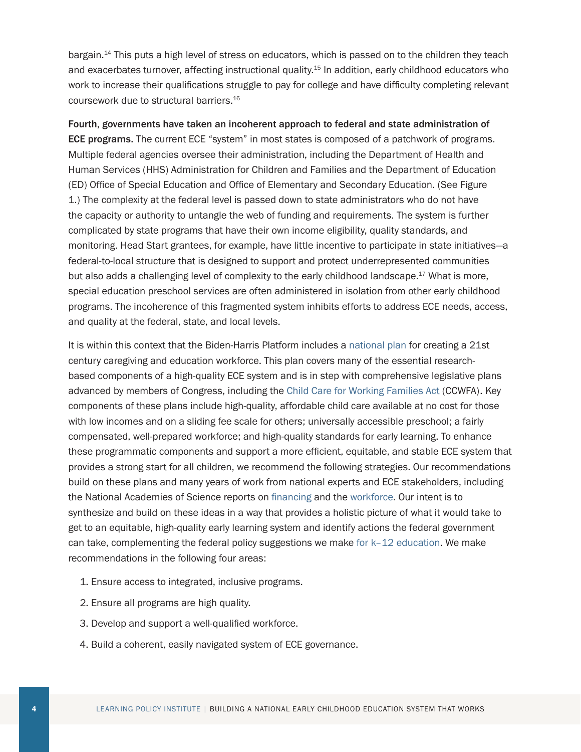bargain.14 This puts a high level of stress on educators, which is passed on to the children they teach and exacerbates turnover, affecting instructional quality.<sup>15</sup> In addition, early childhood educators who work to increase their qualifications struggle to pay for college and have difficulty completing relevant coursework due to structural barriers.16

Fourth, governments have taken an incoherent approach to federal and state administration of ECE programs. The current ECE "system" in most states is composed of a patchwork of programs. Multiple federal agencies oversee their administration, including the Department of Health and Human Services (HHS) Administration for Children and Families and the Department of Education (ED) Office of Special Education and Office of Elementary and Secondary Education. (See Figure 1.) The complexity at the federal level is passed down to state administrators who do not have the capacity or authority to untangle the web of funding and requirements. The system is further complicated by state programs that have their own income eligibility, quality standards, and monitoring. Head Start grantees, for example, have little incentive to participate in state initiatives—a federal-to-local structure that is designed to support and protect underrepresented communities but also adds a challenging level of complexity to the early childhood landscape. $17$  What is more, special education preschool services are often administered in isolation from other early childhood programs. The incoherence of this fragmented system inhibits efforts to address ECE needs, access, and quality at the federal, state, and local levels.

It is within this context that the Biden-Harris Platform includes a [national plan](https://joebiden.com/caregiving/) for creating a 21st century caregiving and education workforce. This plan covers many of the essential researchbased components of a high-quality ECE system and is in step with comprehensive legislative plans advanced by members of Congress, including the [Child Care for Working Families Act](https://www.congress.gov/bill/116th-congress/senate-bill/568) (CCWFA). Key components of these plans include high-quality, affordable child care available at no cost for those with low incomes and on a sliding fee scale for others; universally accessible preschool; a fairly compensated, well-prepared workforce; and high-quality standards for early learning. To enhance these programmatic components and support a more efficient, equitable, and stable ECE system that provides a strong start for all children, we recommend the following strategies. Our recommendations build on these plans and many years of work from national experts and ECE stakeholders, including the National Academies of Science reports on [financing](https://www.nationalacademies.org/our-work/financing-early-care-and-education-with-a-highly-qualified-workforce) and the [workforce](https://www.nap.edu/catalog/19401/transforming-the-workforce-for-children-birth-through-age-8-a). Our intent is to synthesize and build on these ideas in a way that provides a holistic picture of what it would take to get to an equitable, high-quality early learning system and identify actions the federal government can take, complementing the federal policy suggestions we make [for k–12 education.](https://learningpolicyinstitute.org/product/advancing-education-2020-brief) We make recommendations in the following four areas:

- 1. Ensure access to integrated, inclusive programs.
- 2. Ensure all programs are high quality.
- 3. Develop and support a well-qualified workforce.
- 4. Build a coherent, easily navigated system of ECE governance.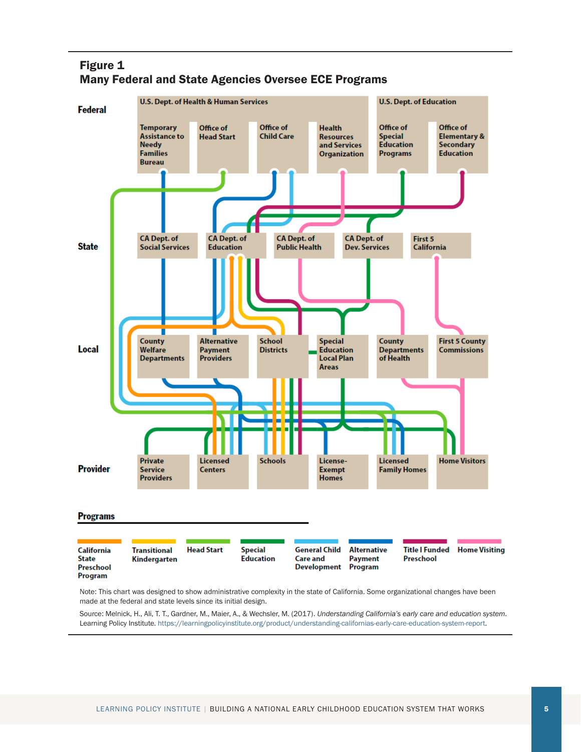



made at the federal and state levels since its initial design.

Source: Melnick, H., Ali, T. T., Gardner, M., Maier, A., & Wechsler, M. (2017). *Understanding California's early care and education system*. Learning Policy Institute.<https://learningpolicyinstitute.org/product/understanding-californias-early-care-education-system-report>.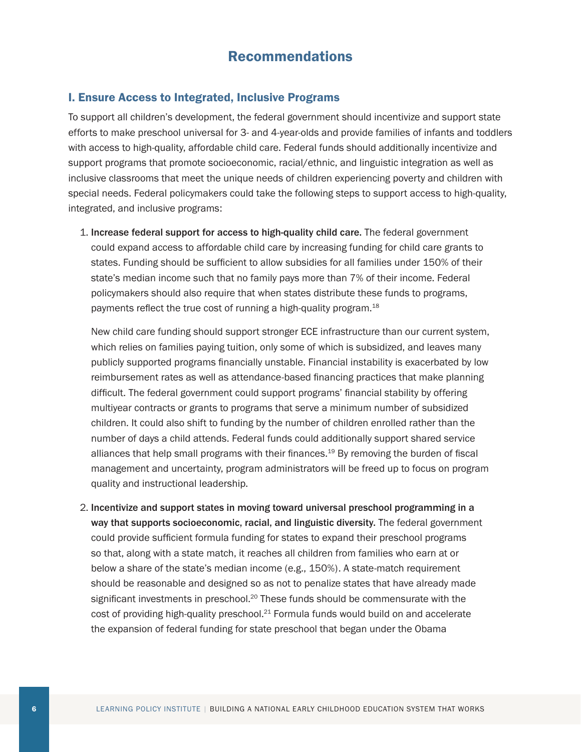### Recommendations

#### I. Ensure Access to Integrated, Inclusive Programs

To support all children's development, the federal government should incentivize and support state efforts to make preschool universal for 3- and 4-year-olds and provide families of infants and toddlers with access to high-quality, affordable child care. Federal funds should additionally incentivize and support programs that promote socioeconomic, racial/ethnic, and linguistic integration as well as inclusive classrooms that meet the unique needs of children experiencing poverty and children with special needs. Federal policymakers could take the following steps to support access to high-quality, integrated, and inclusive programs:

1. Increase federal support for access to high-quality child care. The federal government could expand access to affordable child care by increasing funding for child care grants to states. Funding should be sufficient to allow subsidies for all families under 150% of their state's median income such that no family pays more than 7% of their income. Federal policymakers should also require that when states distribute these funds to programs, payments reflect the true cost of running a high-quality program.<sup>18</sup>

New child care funding should support stronger ECE infrastructure than our current system, which relies on families paying tuition, only some of which is subsidized, and leaves many publicly supported programs financially unstable. Financial instability is exacerbated by low reimbursement rates as well as attendance-based financing practices that make planning difficult. The federal government could support programs' financial stability by offering multiyear contracts or grants to programs that serve a minimum number of subsidized children. It could also shift to funding by the number of children enrolled rather than the number of days a child attends. Federal funds could additionally support shared service alliances that help small programs with their finances.<sup>19</sup> By removing the burden of fiscal management and uncertainty, program administrators will be freed up to focus on program quality and instructional leadership.

2. Incentivize and support states in moving toward universal preschool programming in a way that supports socioeconomic, racial, and linguistic diversity. The federal government could provide sufficient formula funding for states to expand their preschool programs so that, along with a state match, it reaches all children from families who earn at or below a share of the state's median income (e.g., 150%). A state-match requirement should be reasonable and designed so as not to penalize states that have already made significant investments in preschool.<sup>20</sup> These funds should be commensurate with the  $cost$  of providing high-quality preschool. $^{21}$  Formula funds would build on and accelerate the expansion of federal funding for state preschool that began under the Obama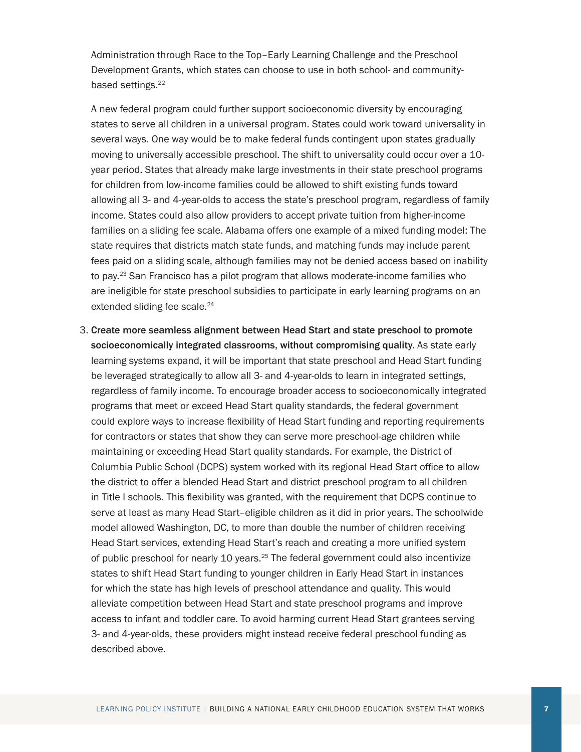Administration through Race to the Top–Early Learning Challenge and the Preschool Development Grants, which states can choose to use in both school- and communitybased settings.<sup>22</sup>

A new federal program could further support socioeconomic diversity by encouraging states to serve all children in a universal program. States could work toward universality in several ways. One way would be to make federal funds contingent upon states gradually moving to universally accessible preschool. The shift to universality could occur over a 10 year period. States that already make large investments in their state preschool programs for children from low-income families could be allowed to shift existing funds toward allowing all 3- and 4-year-olds to access the state's preschool program, regardless of family income. States could also allow providers to accept private tuition from higher-income families on a sliding fee scale. Alabama offers one example of a mixed funding model: The state requires that districts match state funds, and matching funds may include parent fees paid on a sliding scale, although families may not be denied access based on inability to pay.<sup>23</sup> San Francisco has a pilot program that allows moderate-income families who are ineligible for state preschool subsidies to participate in early learning programs on an extended sliding fee scale.<sup>24</sup>

3. Create more seamless alignment between Head Start and state preschool to promote socioeconomically integrated classrooms, without compromising quality. As state early learning systems expand, it will be important that state preschool and Head Start funding be leveraged strategically to allow all 3- and 4-year-olds to learn in integrated settings, regardless of family income. To encourage broader access to socioeconomically integrated programs that meet or exceed Head Start quality standards, the federal government could explore ways to increase flexibility of Head Start funding and reporting requirements for contractors or states that show they can serve more preschool-age children while maintaining or exceeding Head Start quality standards. For example, the District of Columbia Public School (DCPS) system worked with its regional Head Start office to allow the district to offer a blended Head Start and district preschool program to all children in Title I schools. This flexibility was granted, with the requirement that DCPS continue to serve at least as many Head Start–eligible children as it did in prior years. The schoolwide model allowed Washington, DC, to more than double the number of children receiving Head Start services, extending Head Start's reach and creating a more unified system of public preschool for nearly 10 years.<sup>25</sup> The federal government could also incentivize states to shift Head Start funding to younger children in Early Head Start in instances for which the state has high levels of preschool attendance and quality. This would alleviate competition between Head Start and state preschool programs and improve access to infant and toddler care. To avoid harming current Head Start grantees serving 3- and 4-year-olds, these providers might instead receive federal preschool funding as described above.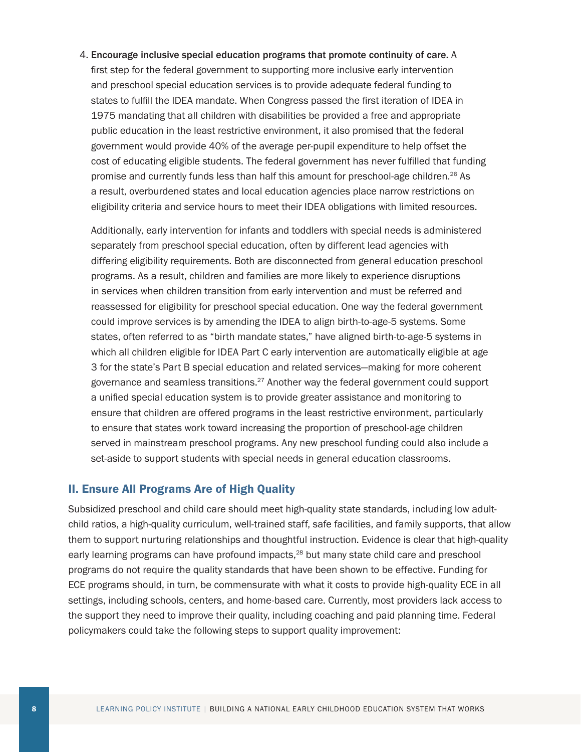4. Encourage inclusive special education programs that promote continuity of care. A first step for the federal government to supporting more inclusive early intervention and preschool special education services is to provide adequate federal funding to states to fulfill the IDEA mandate. When Congress passed the first iteration of IDEA in 1975 mandating that all children with disabilities be provided a free and appropriate public education in the least restrictive environment, it also promised that the federal government would provide 40% of the average per-pupil expenditure to help offset the cost of educating eligible students. The federal government has never fulfilled that funding promise and currently funds less than half this amount for preschool-age children.<sup>26</sup> As a result, overburdened states and local education agencies place narrow restrictions on eligibility criteria and service hours to meet their IDEA obligations with limited resources.

Additionally, early intervention for infants and toddlers with special needs is administered separately from preschool special education, often by different lead agencies with differing eligibility requirements. Both are disconnected from general education preschool programs. As a result, children and families are more likely to experience disruptions in services when children transition from early intervention and must be referred and reassessed for eligibility for preschool special education. One way the federal government could improve services is by amending the IDEA to align birth-to-age-5 systems. Some states, often referred to as "birth mandate states," have aligned birth-to-age-5 systems in which all children eligible for IDEA Part C early intervention are automatically eligible at age 3 for the state's Part B special education and related services—making for more coherent governance and seamless transitions. $27$  Another way the federal government could support a unified special education system is to provide greater assistance and monitoring to ensure that children are offered programs in the least restrictive environment, particularly to ensure that states work toward increasing the proportion of preschool-age children served in mainstream preschool programs. Any new preschool funding could also include a set-aside to support students with special needs in general education classrooms.

#### II. Ensure All Programs Are of High Quality

Subsidized preschool and child care should meet high-quality state standards, including low adultchild ratios, a high-quality curriculum, well-trained staff, safe facilities, and family supports, that allow them to support nurturing relationships and thoughtful instruction. Evidence is clear that high-quality early learning programs can have profound impacts.<sup>28</sup> but many state child care and preschool programs do not require the quality standards that have been shown to be effective. Funding for ECE programs should, in turn, be commensurate with what it costs to provide high-quality ECE in all settings, including schools, centers, and home-based care. Currently, most providers lack access to the support they need to improve their quality, including coaching and paid planning time. Federal policymakers could take the following steps to support quality improvement: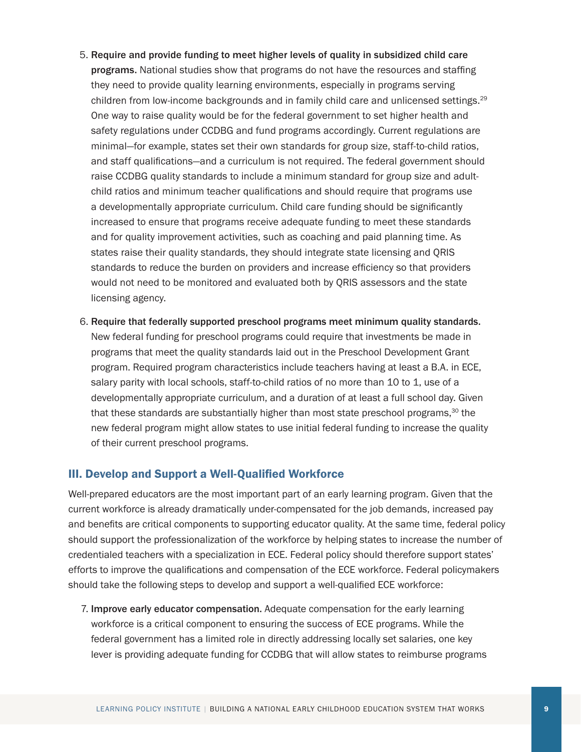- 5. Require and provide funding to meet higher levels of quality in subsidized child care programs. National studies show that programs do not have the resources and staffing they need to provide quality learning environments, especially in programs serving children from low-income backgrounds and in family child care and unlicensed settings.<sup>29</sup> One way to raise quality would be for the federal government to set higher health and safety regulations under CCDBG and fund programs accordingly. Current regulations are minimal—for example, states set their own standards for group size, staff-to-child ratios, and staff qualifications—and a curriculum is not required. The federal government should raise CCDBG quality standards to include a minimum standard for group size and adultchild ratios and minimum teacher qualifications and should require that programs use a developmentally appropriate curriculum. Child care funding should be significantly increased to ensure that programs receive adequate funding to meet these standards and for quality improvement activities, such as coaching and paid planning time. As states raise their quality standards, they should integrate state licensing and QRIS standards to reduce the burden on providers and increase efficiency so that providers would not need to be monitored and evaluated both by QRIS assessors and the state licensing agency.
- 6. Require that federally supported preschool programs meet minimum quality standards. New federal funding for preschool programs could require that investments be made in programs that meet the quality standards laid out in the Preschool Development Grant program. Required program characteristics include teachers having at least a B.A. in ECE, salary parity with local schools, staff-to-child ratios of no more than 10 to 1, use of a developmentally appropriate curriculum, and a duration of at least a full school day. Given that these standards are substantially higher than most state preschool programs, $30$  the new federal program might allow states to use initial federal funding to increase the quality of their current preschool programs.

#### III. Develop and Support a Well-Qualified Workforce

Well-prepared educators are the most important part of an early learning program. Given that the current workforce is already dramatically under-compensated for the job demands, increased pay and benefits are critical components to supporting educator quality. At the same time, federal policy should support the professionalization of the workforce by helping states to increase the number of credentialed teachers with a specialization in ECE. Federal policy should therefore support states' efforts to improve the qualifications and compensation of the ECE workforce. Federal policymakers should take the following steps to develop and support a well-qualified ECE workforce:

7. Improve early educator compensation. Adequate compensation for the early learning workforce is a critical component to ensuring the success of ECE programs. While the federal government has a limited role in directly addressing locally set salaries, one key lever is providing adequate funding for CCDBG that will allow states to reimburse programs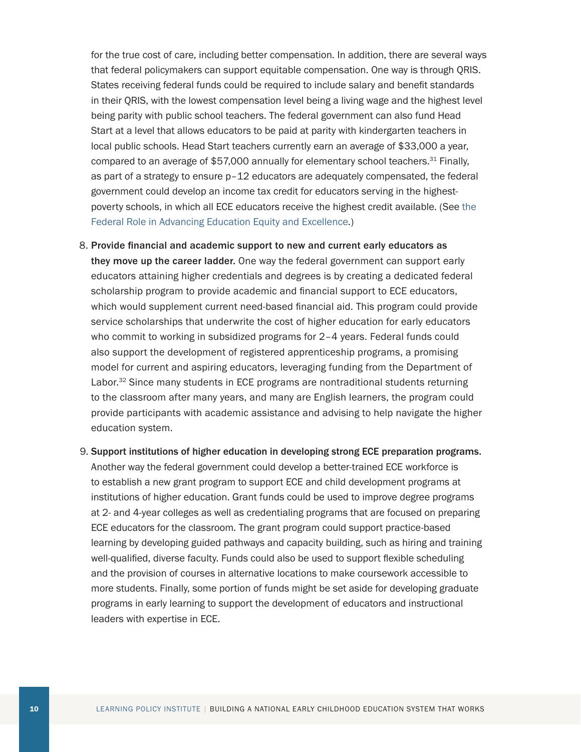for the true cost of care, including better compensation. In addition, there are several ways that federal policymakers can support equitable compensation. One way is through QRIS. States receiving federal funds could be required to include salary and benefit standards in their QRIS, with the lowest compensation level being a living wage and the highest level being parity with public school teachers. The federal government can also fund Head Start at a level that allows educators to be paid at parity with kindergarten teachers in local public schools. Head Start teachers currently earn an average of \$33,000 a year, compared to an average of \$57,000 annually for elementary school teachers.<sup>31</sup> Finally, as part of a strategy to ensure p–12 educators are adequately compensated, the federal government could develop an income tax credit for educators serving in the highestpoverty schools, in which all ECE educators receive the highest credit available. (See [the](https://learningpolicyinstitute.org/product/advancing-education-2020-brief)  [Federal Role in Advancing Education Equity and](https://learningpolicyinstitute.org/product/advancing-education-2020-brief) Excellence.)

- 8. Provide financial and academic support to new and current early educators as they move up the career ladder. One way the federal government can support early educators attaining higher credentials and degrees is by creating a dedicated federal scholarship program to provide academic and financial support to ECE educators, which would supplement current need-based financial aid. This program could provide service scholarships that underwrite the cost of higher education for early educators who commit to working in subsidized programs for 2–4 years. Federal funds could also support the development of registered apprenticeship programs, a promising model for current and aspiring educators, leveraging funding from the Department of Labor.<sup>32</sup> Since many students in ECE programs are nontraditional students returning to the classroom after many years, and many are English learners, the program could provide participants with academic assistance and advising to help navigate the higher education system.
- 9. Support institutions of higher education in developing strong ECE preparation programs. Another way the federal government could develop a better-trained ECE workforce is to establish a new grant program to support ECE and child development programs at institutions of higher education. Grant funds could be used to improve degree programs at 2- and 4-year colleges as well as credentialing programs that are focused on preparing ECE educators for the classroom. The grant program could support practice-based learning by developing guided pathways and capacity building, such as hiring and training well-qualified, diverse faculty. Funds could also be used to support flexible scheduling and the provision of courses in alternative locations to make coursework accessible to more students. Finally, some portion of funds might be set aside for developing graduate programs in early learning to support the development of educators and instructional leaders with expertise in ECE.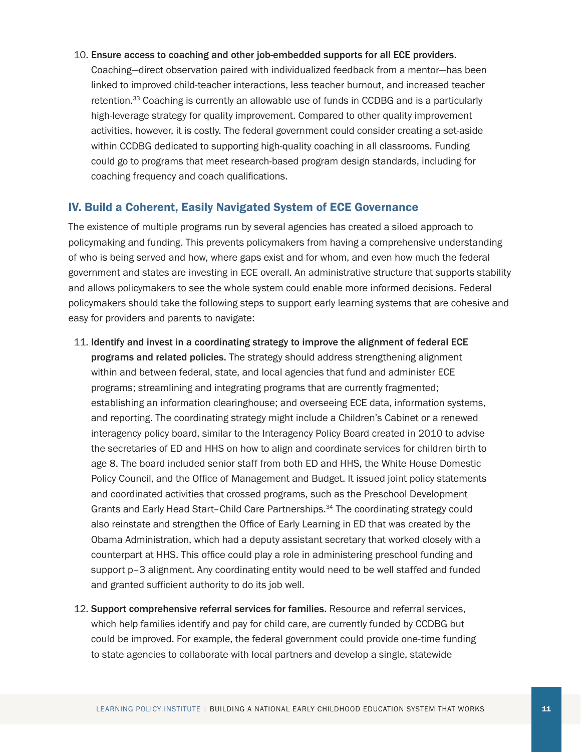#### 10. Ensure access to coaching and other job-embedded supports for all ECE providers.

Coaching—direct observation paired with individualized feedback from a mentor—has been linked to improved child-teacher interactions, less teacher burnout, and increased teacher retention.33 Coaching is currently an allowable use of funds in CCDBG and is a particularly high-leverage strategy for quality improvement. Compared to other quality improvement activities, however, it is costly. The federal government could consider creating a set-aside within CCDBG dedicated to supporting high-quality coaching in all classrooms. Funding could go to programs that meet research-based program design standards, including for coaching frequency and coach qualifications.

#### IV. Build a Coherent, Easily Navigated System of ECE Governance

The existence of multiple programs run by several agencies has created a siloed approach to policymaking and funding. This prevents policymakers from having a comprehensive understanding of who is being served and how, where gaps exist and for whom, and even how much the federal government and states are investing in ECE overall. An administrative structure that supports stability and allows policymakers to see the whole system could enable more informed decisions. Federal policymakers should take the following steps to support early learning systems that are cohesive and easy for providers and parents to navigate:

- 11. Identify and invest in a coordinating strategy to improve the alignment of federal ECE programs and related policies. The strategy should address strengthening alignment within and between federal, state, and local agencies that fund and administer ECE programs; streamlining and integrating programs that are currently fragmented; establishing an information clearinghouse; and overseeing ECE data, information systems, and reporting. The coordinating strategy might include a Children's Cabinet or a renewed interagency policy board, similar to the Interagency Policy Board created in 2010 to advise the secretaries of ED and HHS on how to align and coordinate services for children birth to age 8. The board included senior staff from both ED and HHS, the White House Domestic Policy Council, and the Office of Management and Budget. It issued joint policy statements and coordinated activities that crossed programs, such as the Preschool Development Grants and Early Head Start–Child Care Partnerships.34 The coordinating strategy could also reinstate and strengthen the Office of Early Learning in ED that was created by the Obama Administration, which had a deputy assistant secretary that worked closely with a counterpart at HHS. This office could play a role in administering preschool funding and support p–3 alignment. Any coordinating entity would need to be well staffed and funded and granted sufficient authority to do its job well.
- 12. Support comprehensive referral services for families. Resource and referral services, which help families identify and pay for child care, are currently funded by CCDBG but could be improved. For example, the federal government could provide one-time funding to state agencies to collaborate with local partners and develop a single, statewide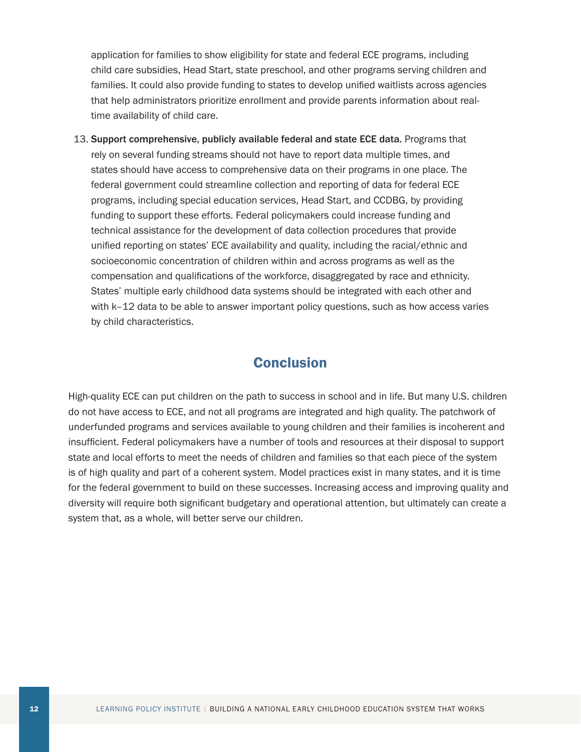application for families to show eligibility for state and federal ECE programs, including child care subsidies, Head Start, state preschool, and other programs serving children and families. It could also provide funding to states to develop unified waitlists across agencies that help administrators prioritize enrollment and provide parents information about realtime availability of child care.

13. Support comprehensive, publicly available federal and state ECE data. Programs that rely on several funding streams should not have to report data multiple times, and states should have access to comprehensive data on their programs in one place. The federal government could streamline collection and reporting of data for federal ECE programs, including special education services, Head Start, and CCDBG, by providing funding to support these efforts. Federal policymakers could increase funding and technical assistance for the development of data collection procedures that provide unified reporting on states' ECE availability and quality, including the racial/ethnic and socioeconomic concentration of children within and across programs as well as the compensation and qualifications of the workforce, disaggregated by race and ethnicity. States' multiple early childhood data systems should be integrated with each other and with k–12 data to be able to answer important policy questions, such as how access varies by child characteristics.

## **Conclusion**

High-quality ECE can put children on the path to success in school and in life. But many U.S. children do not have access to ECE, and not all programs are integrated and high quality. The patchwork of underfunded programs and services available to young children and their families is incoherent and insufficient. Federal policymakers have a number of tools and resources at their disposal to support state and local efforts to meet the needs of children and families so that each piece of the system is of high quality and part of a coherent system. Model practices exist in many states, and it is time for the federal government to build on these successes. Increasing access and improving quality and diversity will require both significant budgetary and operational attention, but ultimately can create a system that, as a whole, will better serve our children.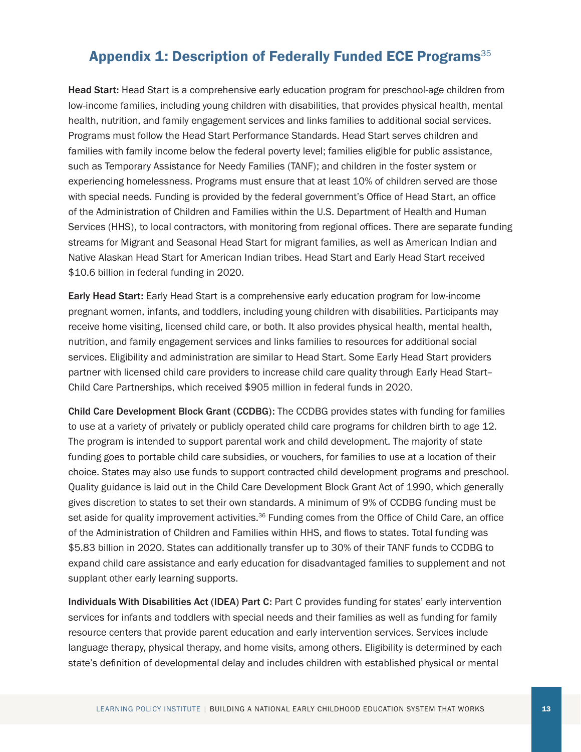## Appendix 1: Description of Federally Funded ECE Programs<sup>35</sup>

Head Start: Head Start is a comprehensive early education program for preschool-age children from low-income families, including young children with disabilities, that provides physical health, mental health, nutrition, and family engagement services and links families to additional social services. Programs must follow the Head Start Performance Standards. Head Start serves children and families with family income below the federal poverty level; families eligible for public assistance, such as Temporary Assistance for Needy Families (TANF); and children in the foster system or experiencing homelessness. Programs must ensure that at least 10% of children served are those with special needs. Funding is provided by the federal government's Office of Head Start, an office of the Administration of Children and Families within the U.S. Department of Health and Human Services (HHS), to local contractors, with monitoring from regional offices. There are separate funding streams for Migrant and Seasonal Head Start for migrant families, as well as American Indian and Native Alaskan Head Start for American Indian tribes. Head Start and Early Head Start received \$10.6 billion in federal funding in 2020.

Early Head Start: Early Head Start is a comprehensive early education program for low-income pregnant women, infants, and toddlers, including young children with disabilities. Participants may receive home visiting, licensed child care, or both. It also provides physical health, mental health, nutrition, and family engagement services and links families to resources for additional social services. Eligibility and administration are similar to Head Start. Some Early Head Start providers partner with licensed child care providers to increase child care quality through Early Head Start– Child Care Partnerships, which received \$905 million in federal funds in 2020.

Child Care Development Block Grant (CCDBG): The CCDBG provides states with funding for families to use at a variety of privately or publicly operated child care programs for children birth to age 12. The program is intended to support parental work and child development. The majority of state funding goes to portable child care subsidies, or vouchers, for families to use at a location of their choice. States may also use funds to support contracted child development programs and preschool. Quality guidance is laid out in the Child Care Development Block Grant Act of 1990, which generally gives discretion to states to set their own standards. A minimum of 9% of CCDBG funding must be set aside for quality improvement activities.<sup>36</sup> Funding comes from the Office of Child Care, an office of the Administration of Children and Families within HHS, and flows to states. Total funding was \$5.83 billion in 2020. States can additionally transfer up to 30% of their TANF funds to CCDBG to expand child care assistance and early education for disadvantaged families to supplement and not supplant other early learning supports.

Individuals With Disabilities Act (IDEA) Part C: Part C provides funding for states' early intervention services for infants and toddlers with special needs and their families as well as funding for family resource centers that provide parent education and early intervention services. Services include language therapy, physical therapy, and home visits, among others. Eligibility is determined by each state's definition of developmental delay and includes children with established physical or mental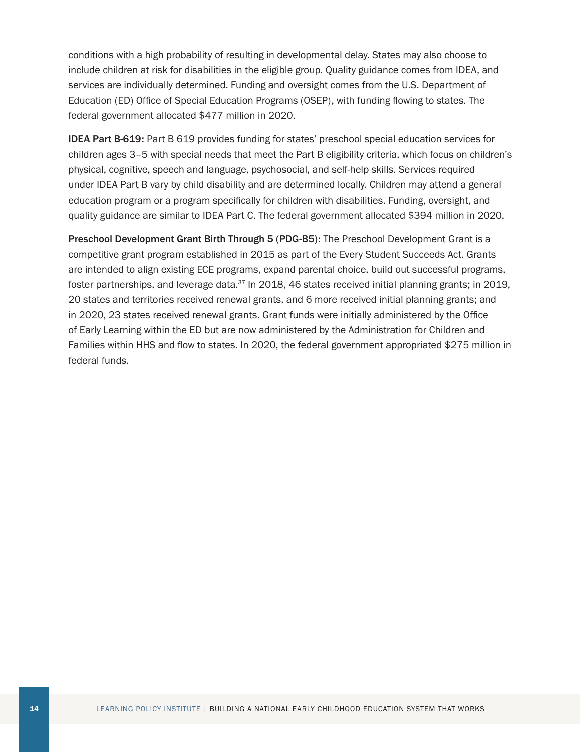conditions with a high probability of resulting in developmental delay. States may also choose to include children at risk for disabilities in the eligible group. Quality guidance comes from IDEA, and services are individually determined. Funding and oversight comes from the U.S. Department of Education (ED) Office of Special Education Programs (OSEP), with funding flowing to states. The federal government allocated \$477 million in 2020.

IDEA Part B-619: Part B 619 provides funding for states' preschool special education services for children ages 3–5 with special needs that meet the Part B eligibility criteria, which focus on children's physical, cognitive, speech and language, psychosocial, and self-help skills. Services required under IDEA Part B vary by child disability and are determined locally. Children may attend a general education program or a program specifically for children with disabilities. Funding, oversight, and quality guidance are similar to IDEA Part C. The federal government allocated \$394 million in 2020.

Preschool Development Grant Birth Through 5 (PDG-B5): The Preschool Development Grant is a competitive grant program established in 2015 as part of the Every Student Succeeds Act. Grants are intended to align existing ECE programs, expand parental choice, build out successful programs, foster partnerships, and leverage data.<sup>37</sup> In 2018, 46 states received initial planning grants; in 2019, 20 states and territories received renewal grants, and 6 more received initial planning grants; and in 2020, 23 states received renewal grants. Grant funds were initially administered by the Office of Early Learning within the ED but are now administered by the Administration for Children and Families within HHS and flow to states. In 2020, the federal government appropriated \$275 million in federal funds.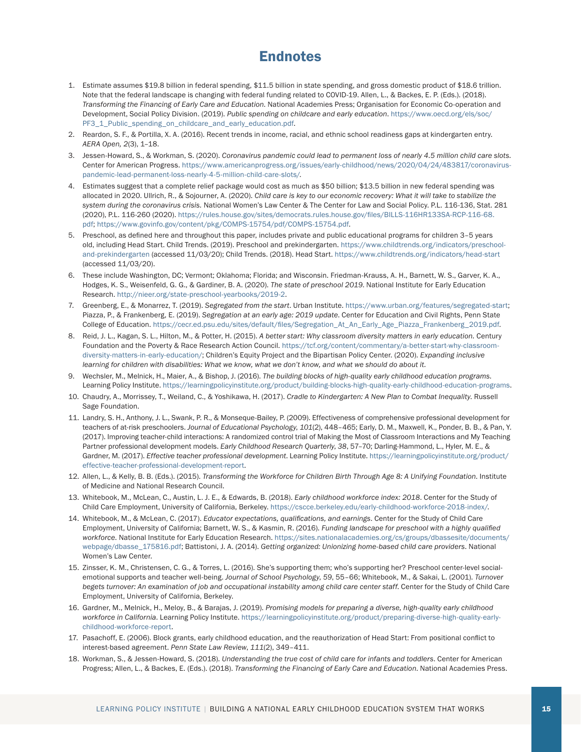## **Endnotes**

- 1. Estimate assumes \$19.8 billion in federal spending, \$11.5 billion in state spending, and gross domestic product of \$18.6 trillion. Note that the federal landscape is changing with federal funding related to COVID-19. Allen, L., & Backes, E. P. (Eds.). (2018). *Transforming the Financing of Early Care and Education*. National Academies Press; Organisation for Economic Co-operation and Development, Social Policy Division. (2019). *Public spending on childcare and early education*. [https://www.oecd.org/els/soc/](https://www.oecd.org/els/soc/PF3_1_Public_spending_on_childcare_and_early_education.pdf) [PF3\\_1\\_Public\\_spending\\_on\\_childcare\\_and\\_early\\_education.pdf.](https://www.oecd.org/els/soc/PF3_1_Public_spending_on_childcare_and_early_education.pdf)
- 2. Reardon, S. F., & Portilla, X. A. (2016). Recent trends in income, racial, and ethnic school readiness gaps at kindergarten entry. *AERA Open, 2*(3), 1–18.
- 3. Jessen-Howard, S., & Workman, S. (2020). *Coronavirus pandemic could lead to permanent loss of nearly 4.5 million child care slots.* Center for American Progress. [https://www.americanprogress.org/issues/early-childhood/news/2020/04/24/483817/coronavirus](https://www.americanprogress.org/issues/early-childhood/news/2020/04/24/483817/coronavirus-pandemic-lead-permanent-loss-nearly-4-5-million-child-care-slots/)[pandemic-lead-permanent-loss-nearly-4-5-million-child-care-slots/.](https://www.americanprogress.org/issues/early-childhood/news/2020/04/24/483817/coronavirus-pandemic-lead-permanent-loss-nearly-4-5-million-child-care-slots/)
- 4. Estimates suggest that a complete relief package would cost as much as \$50 billion; \$13.5 billion in new federal spending was allocated in 2020. Ullrich, R., & Sojourner, A. (2020). *Child care is key to our economic recovery: What it will take to stabilize the system during the coronavirus crisis.* National Women's Law Center & The Center for Law and Social Policy. P.L. 116-136, Stat. 281 (2020), P.L. 116-260 (2020). [https://rules.house.gov/sites/democrats.rules.house.gov/files/BILLS-116HR133SA-RCP-116-68.](https://rules.house.gov/sites/democrats.rules.house.gov/files/BILLS-116HR133SA-RCP-116-68.pdf) [pdf](https://rules.house.gov/sites/democrats.rules.house.gov/files/BILLS-116HR133SA-RCP-116-68.pdf); [https://www.govinfo.gov/content/pkg/COMPS-15754/pdf/COMPS-15754.pdf.](https://www.govinfo.gov/content/pkg/COMPS-15754/pdf/COMPS-15754.pdf)
- 5. Preschool, as defined here and throughout this paper, includes private and public educational programs for children 3–5 years old, including Head Start. Child Trends. (2019). Preschool and prekindergarten. [https://www.childtrends.org/indicators/preschool](https://www.childtrends.org/indicators/preschool-and-prekindergarten)[and-prekindergarten](https://www.childtrends.org/indicators/preschool-and-prekindergarten) (accessed 11/03/20); Child Trends. (2018). Head Start. <https://www.childtrends.org/indicators/head-start> (accessed 11/03/20).
- 6. These include Washington, DC; Vermont; Oklahoma; Florida; and Wisconsin. Friedman-Krauss, A. H., Barnett, W. S., Garver, K. A., Hodges, K. S., Weisenfeld, G. G., & Gardiner, B. A. (2020). *The state of preschool 2019*. National Institute for Early Education Research. <http://nieer.org/state-preschool-yearbooks/2019-2>.
- 7. Greenberg, E., & Monarrez, T. (2019). *Segregated from the start*. Urban Institute.<https://www.urban.org/features/segregated-start>; Piazza, P., & Frankenberg, E. (2019). *Segregation at an early age: 2019 update*. Center for Education and Civil Rights, Penn State College of Education. [https://cecr.ed.psu.edu/sites/default/files/Segregation\\_At\\_An\\_Early\\_Age\\_Piazza\\_Frankenberg\\_2019.pdf](https://cecr.ed.psu.edu/sites/default/files/Segregation_At_An_Early_Age_Piazza_Frankenberg_2019.pdf).
- 8. Reid, J. L., Kagan, S. L., Hilton, M., & Potter, H. (2015). *A better start: Why classroom diversity matters in early education.* Century Foundation and the Poverty & Race Research Action Council. [https://tcf.org/content/commentary/a-better-start-why-classroom](https://tcf.org/content/commentary/a-better-start-why-classroom-diversity-matters-in-early-education/)[diversity-matters-in-early-education/](https://tcf.org/content/commentary/a-better-start-why-classroom-diversity-matters-in-early-education/); Children's Equity Project and the Bipartisan Policy Center. (2020). *Expanding inclusive learning for children with disabilities: What we know, what we don't know, and what we should do about it.*
- 9. Wechsler, M., Melnick, H., Maier, A., & Bishop, J. (2016). *The building blocks of high-quality early childhood education programs*. Learning Policy Institute. [https://learningpolicyinstitute.org/product/building-blocks-high-quality-early-childhood-education-programs.](https://learningpolicyinstitute.org/product/building-blocks-high-quality-early-childhood-education-programs)
- 10. Chaudry, A., Morrissey, T., Weiland, C., & Yoshikawa, H. (2017). *Cradle to Kindergarten: A New Plan to Combat Inequality*. Russell Sage Foundation.
- 11. Landry, S. H., Anthony, J. L., Swank, P. R., & Monseque-Bailey, P. (2009). Effectiveness of comprehensive professional development for teachers of at-risk preschoolers. *Journal of Educational Psychology*, *101*(2), 448–465; Early, D. M., Maxwell, K., Ponder, B. B., & Pan, Y. (2017). Improving teacher-child interactions: A randomized control trial of Making the Most of Classroom Interactions and My Teaching Partner professional development models. *Early Childhood Research Quarterly*, *38*, 57–70; Darling-Hammond, L., Hyler, M. E., & Gardner, M. (2017). *Effective teacher professional development*. Learning Policy Institute. [https://learningpolicyinstitute.org/product/](https://learningpolicyinstitute.org/product/effective-teacher-professional-development-report) [effective-teacher-professional-development-report](https://learningpolicyinstitute.org/product/effective-teacher-professional-development-report).
- 12. Allen, L., & Kelly, B. B. (Eds.). (2015). *Transforming the Workforce for Children Birth Through Age 8: A Unifying Foundation*. Institute of Medicine and National Research Council.
- 13. Whitebook, M., McLean, C., Austin, L. J. E., & Edwards, B. (2018). *Early childhood workforce index: 2018*. Center for the Study of Child Care Employment, University of California, Berkeley. [https://cscce.berkeley.edu/early-childhood-workforce-2018-index/.](https://cscce.berkeley.edu/early-childhood-workforce-2018-index/)
- 14. Whitebook, M., & McLean, C. (2017). *Educator expectations, qualifications, and earnings*. Center for the Study of Child Care Employment, University of California; Barnett, W. S., & Kasmin, R. (2016). *Funding landscape for preschool with a highly qualified workforce*. National Institute for Early Education Research. [https://sites.nationalacademies.org/cs/groups/dbassesite/documents/](https://sites.nationalacademies.org/cs/groups/dbassesite/documents/webpage/dbasse_175816.pdf) [webpage/dbasse\\_175816.pdf](https://sites.nationalacademies.org/cs/groups/dbassesite/documents/webpage/dbasse_175816.pdf); Battistoni, J. A. (2014). *Getting organized: Unionizing home-based child care providers*. National Women's Law Center.
- 15. Zinsser, K. M., Christensen, C. G., & Torres, L. (2016). She's supporting them; who's supporting her? Preschool center-level socialemotional supports and teacher well-being. *Journal of School Psychology*, *59*, 55–66; Whitebook, M., & Sakai, L. (2001). *Turnover begets turnover: An examination of job and occupational instability among child care center staff*. Center for the Study of Child Care Employment, University of California, Berkeley.
- 16. Gardner, M., Melnick, H., Meloy, B., & Barajas, J. (2019). *Promising models for preparing a diverse, high-quality early childhood workforce in California*. Learning Policy Institute. [https://learningpolicyinstitute.org/product/preparing-diverse-high-quality-early](https://learningpolicyinstitute.org/product/preparing-diverse-high-quality-early-childhood-workforce-report)[childhood-workforce-report.](https://learningpolicyinstitute.org/product/preparing-diverse-high-quality-early-childhood-workforce-report)
- 17. Pasachoff, E. (2006). Block grants, early childhood education, and the reauthorization of Head Start: From positional conflict to interest-based agreement. *Penn State Law Review*, *111*(2), 349–411.
- 18. Workman, S., & Jessen-Howard, S. (2018). *Understanding the true cost of child care for infants and toddlers*. Center for American Progress; Allen, L., & Backes, E. (Eds.). (2018). *Transforming the Financing of Early Care and Education*. National Academies Press.